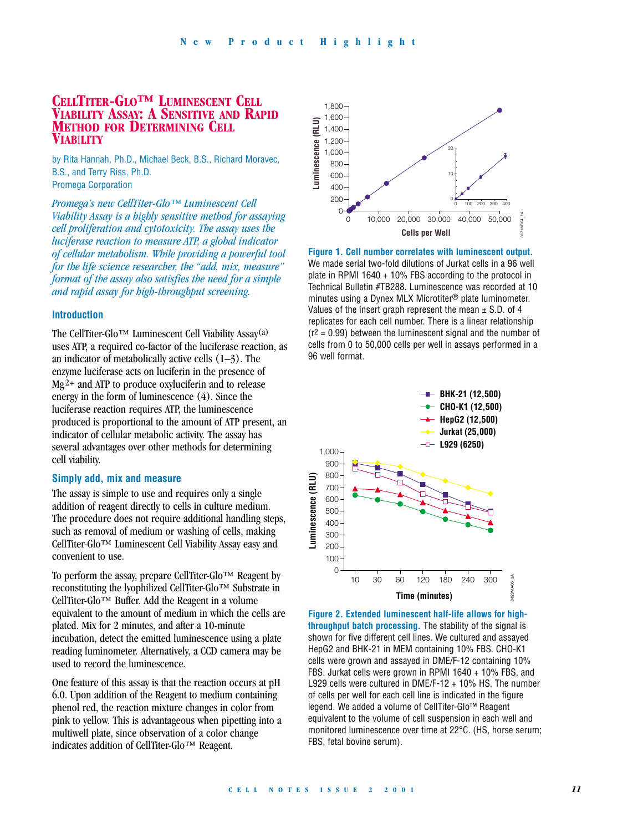# **CELLTITER-GLO™ LUMINESCENT CELL VIABILITY ASSAY: A SENSITIVE AND RAPID METHOD FOR DETERMINING CELL VIAB**I**LITY**

by Rita Hannah, Ph.D., Michael Beck, B.S., Richard Moravec, B.S., and Terry Riss, Ph.D. Promega Corporation

*Promega's new CellTiter-Glo™ Luminescent Cell Viability Assay is a highly sensitive method for assaying cell proliferation and cytotoxicity. The assay uses the luciferase reaction to measure ATP, a global indicator of cellular metabolism. While providing a powerful tool for the life science researcher, the "add, mix, measure" format of the assay also satisfies the need for a simple and rapid assay for high-throughput screening.*

### **Introduction**

The CellTiter-Glo™ Luminescent Cell Viability Assay(a) uses ATP, a required co-factor of the luciferase reaction, as an indicator of metabolically active cells  $(1-3)$ . The enzyme luciferase acts on luciferin in the presence of  $Mg<sup>2+</sup>$  and ATP to produce oxyluciferin and to release energy in the form of luminescence (4). Since the luciferase reaction requires ATP, the luminescence produced is proportional to the amount of ATP present, an indicator of cellular metabolic activity. The assay has several advantages over other methods for determining cell viability.

### **Simply add, mix and measure**

The assay is simple to use and requires only a single addition of reagent directly to cells in culture medium. The procedure does not require additional handling steps, such as removal of medium or washing of cells, making CellTiter-Glo™ Luminescent Cell Viability Assay easy and convenient to use.

To perform the assay, prepare CellTiter-Glo™ Reagent by reconstituting the lyophilized CellTiter-Glo™ Substrate in CellTiter-Glo™ Buffer. Add the Reagent in a volume equivalent to the amount of medium in which the cells are plated. Mix for 2 minutes, and after a 10-minute incubation, detect the emitted luminescence using a plate reading luminometer. Alternatively, a CCD camera may be used to record the luminescence.

One feature of this assay is that the reaction occurs at pH 6.0. Upon addition of the Reagent to medium containing phenol red, the reaction mixture changes in color from pink to yellow. This is advantageous when pipetting into a multiwell plate, since observation of a color change indicates addition of CellTiter-Glo™ Reagent.



**Figure 1. Cell number correlates with luminescent output.** We made serial two-fold dilutions of Jurkat cells in a 96 well plate in RPMI 1640 + 10% FBS according to the protocol in Technical Bulletin #TB288. Luminescence was recorded at 10 minutes using a Dynex MLX Microtiter® plate luminometer. Values of the insert graph represent the mean  $\pm$  S.D. of 4 replicates for each cell number. There is a linear relationship  $(r^2 = 0.99)$  between the luminescent signal and the number of cells from 0 to 50,000 cells per well in assays performed in a 96 well format.



**Figure 2. Extended luminescent half-life allows for highthroughput batch processing.** The stability of the signal is shown for five different cell lines. We cultured and assayed HepG2 and BHK-21 in MEM containing 10% FBS. CHO-K1 cells were grown and assayed in DME/F-12 containing 10% FBS. Jurkat cells were grown in RPMI 1640 + 10% FBS, and L929 cells were cultured in DME/F-12 + 10% HS. The number of cells per well for each cell line is indicated in the figure legend. We added a volume of CellTiter-Glo™ Reagent equivalent to the volume of cell suspension in each well and monitored luminescence over time at 22°C. (HS, horse serum; FBS, fetal bovine serum).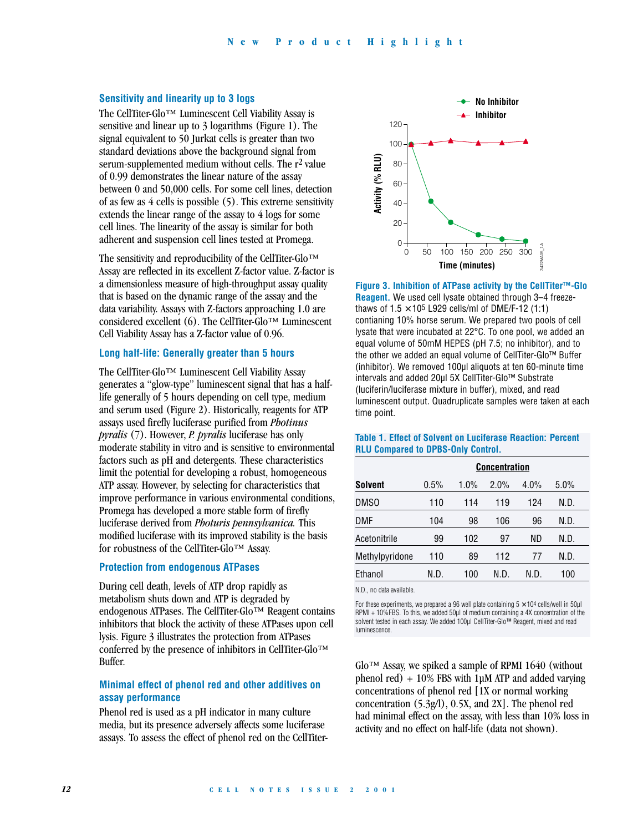### **Sensitivity and linearity up to 3 logs**

The CellTiter-Glo™ Luminescent Cell Viability Assay is sensitive and linear up to 3 logarithms (Figure 1). The signal equivalent to 50 Jurkat cells is greater than two standard deviations above the background signal from serum-supplemented medium without cells. The r2 value of 0.99 demonstrates the linear nature of the assay between 0 and 50,000 cells. For some cell lines, detection of as few as 4 cells is possible (5). This extreme sensitivity extends the linear range of the assay to 4 logs for some cell lines. The linearity of the assay is similar for both adherent and suspension cell lines tested at Promega.

The sensitivity and reproducibility of the CellTiter-Glo™ Assay are reflected in its excellent Z-factor value. Z-factor is a dimensionless measure of high-throughput assay quality that is based on the dynamic range of the assay and the data variability. Assays with Z-factors approaching 1.0 are considered excellent (6). The CellTiter-Glo<sup>TM</sup> Luminescent Cell Viability Assay has a Z-factor value of 0.96.

## **Long half-life: Generally greater than 5 hours**

The CellTiter-Glo™ Luminescent Cell Viability Assay generates a "glow-type" luminescent signal that has a halflife generally of 5 hours depending on cell type, medium and serum used (Figure 2). Historically, reagents for ATP assays used firefly luciferase purified from *Photinus pyralis* (7). However, *P. pyralis* luciferase has only moderate stability in vitro and is sensitive to environmental factors such as pH and detergents. These characteristics limit the potential for developing a robust, homogeneous ATP assay. However, by selecting for characteristics that improve performance in various environmental conditions, Promega has developed a more stable form of firefly luciferase derived from *Photuris pennsylvanica.* This modified luciferase with its improved stability is the basis for robustness of the CellTiter-Glo™ Assay.

### **Protection from endogenous ATPases**

During cell death, levels of ATP drop rapidly as metabolism shuts down and ATP is degraded by endogenous ATPases. The CellTiter-Glo™ Reagent contains inhibitors that block the activity of these ATPases upon cell lysis. Figure 3 illustrates the protection from ATPases conferred by the presence of inhibitors in CellTiter-Glo™ Buffer.

### **Minimal effect of phenol red and other additives on assay performance**

Phenol red is used as a pH indicator in many culture media, but its presence adversely affects some luciferase assays. To assess the effect of phenol red on the CellTiter-



**Figure 3. Inhibition of ATPase activity by the CellTiter™-Glo Reagent.** We used cell lysate obtained through 3–4 freezethaws of  $1.5 \times 10^5$  L929 cells/ml of DME/F-12 (1:1) contianing 10% horse serum. We prepared two pools of cell lysate that were incubated at 22°C. To one pool, we added an equal volume of 50mM HEPES (pH 7.5; no inhibitor), and to the other we added an equal volume of CellTiter-Glo™ Buffer (inhibitor). We removed 100µl aliquots at ten 60-minute time intervals and added 20µl 5X CellTiter-Glo™ Substrate (luciferin/luciferase mixture in buffer), mixed, and read luminescent output. Quadruplicate samples were taken at each time point.

|                  | <b>Concentration</b> |      |      |      |      |
|------------------|----------------------|------|------|------|------|
| <b>Solvent</b>   | 0.5%                 | 1.0% | 2.0% | 4.0% | 5.0% |
| DMS <sub>0</sub> | 110                  | 114  | 119  | 124  | N.D. |
| DMF              | 104                  | 98   | 106  | 96   | N.D. |
| Acetonitrile     | 99                   | 102  | 97   | ND   | N.D. |
| Methylpyridone   | 110                  | 89   | 112  | 77   | N.D. |
| Ethanol          | N.D.                 | 100  | N.D. | N.D. | 100  |

#### **Table 1. Effect of Solvent on Luciferase Reaction: Percent RLU Compared to DPBS-Only Control.**

N.D., no data available.

For these experiments, we prepared a 96 well plate containing  $5 \times 10^4$  cells/well in 50 $\mu$ l RPMI + 10%FBS. To this, we added 50µl of medium containing a 4X concentration of the solvent tested in each assay. We added 100µl CellTiter-Glo™ Reagent, mixed and read luminescence.

 $Glo<sup>TM</sup>$  Assay, we spiked a sample of RPMI 1640 (without phenol red) + 10% FBS with 1µM ATP and added varying concentrations of phenol red [1X or normal working concentration (5.3g/l), 0.5X, and 2X]. The phenol red had minimal effect on the assay, with less than 10% loss in activity and no effect on half-life (data not shown).